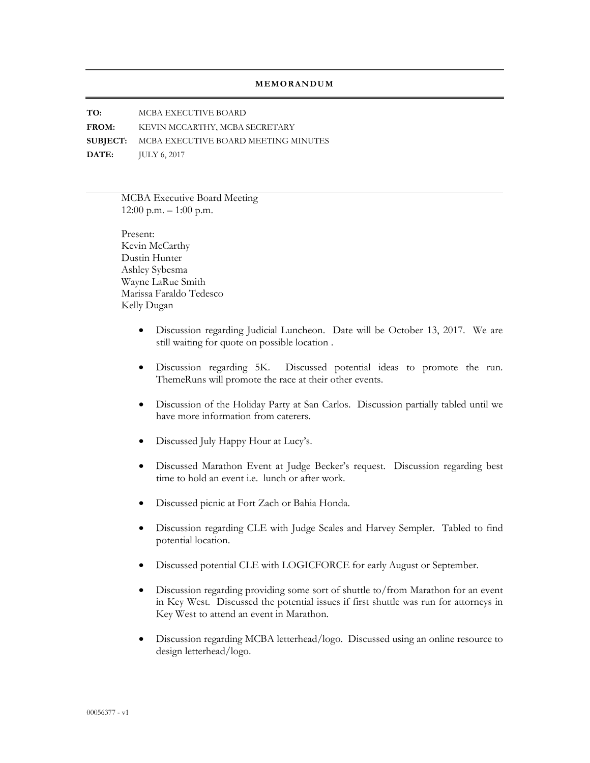## **MEMORANDUM**

**TO:** MCBA EXECUTIVE BOARD

**FROM:** KEVIN MCCARTHY, MCBA SECRETARY

**SUBJECT:** MCBA EXECUTIVE BOARD MEETING MINUTES

**DATE:** JULY 6, 2017

MCBA Executive Board Meeting  $12:00$  p.m.  $-1:00$  p.m.

Present: Kevin McCarthy Dustin Hunter Ashley Sybesma Wayne LaRue Smith Marissa Faraldo Tedesco Kelly Dugan

- Discussion regarding Judicial Luncheon. Date will be October 13, 2017. We are still waiting for quote on possible location .
- Discussion regarding 5K. Discussed potential ideas to promote the run. ThemeRuns will promote the race at their other events.
- Discussion of the Holiday Party at San Carlos. Discussion partially tabled until we have more information from caterers.
- Discussed July Happy Hour at Lucy's.
- Discussed Marathon Event at Judge Becker's request. Discussion regarding best time to hold an event i.e. lunch or after work.
- Discussed picnic at Fort Zach or Bahia Honda.
- Discussion regarding CLE with Judge Scales and Harvey Sempler. Tabled to find potential location.
- Discussed potential CLE with LOGICFORCE for early August or September.
- Discussion regarding providing some sort of shuttle to/from Marathon for an event in Key West. Discussed the potential issues if first shuttle was run for attorneys in Key West to attend an event in Marathon.
- Discussion regarding MCBA letterhead/logo. Discussed using an online resource to design letterhead/logo.